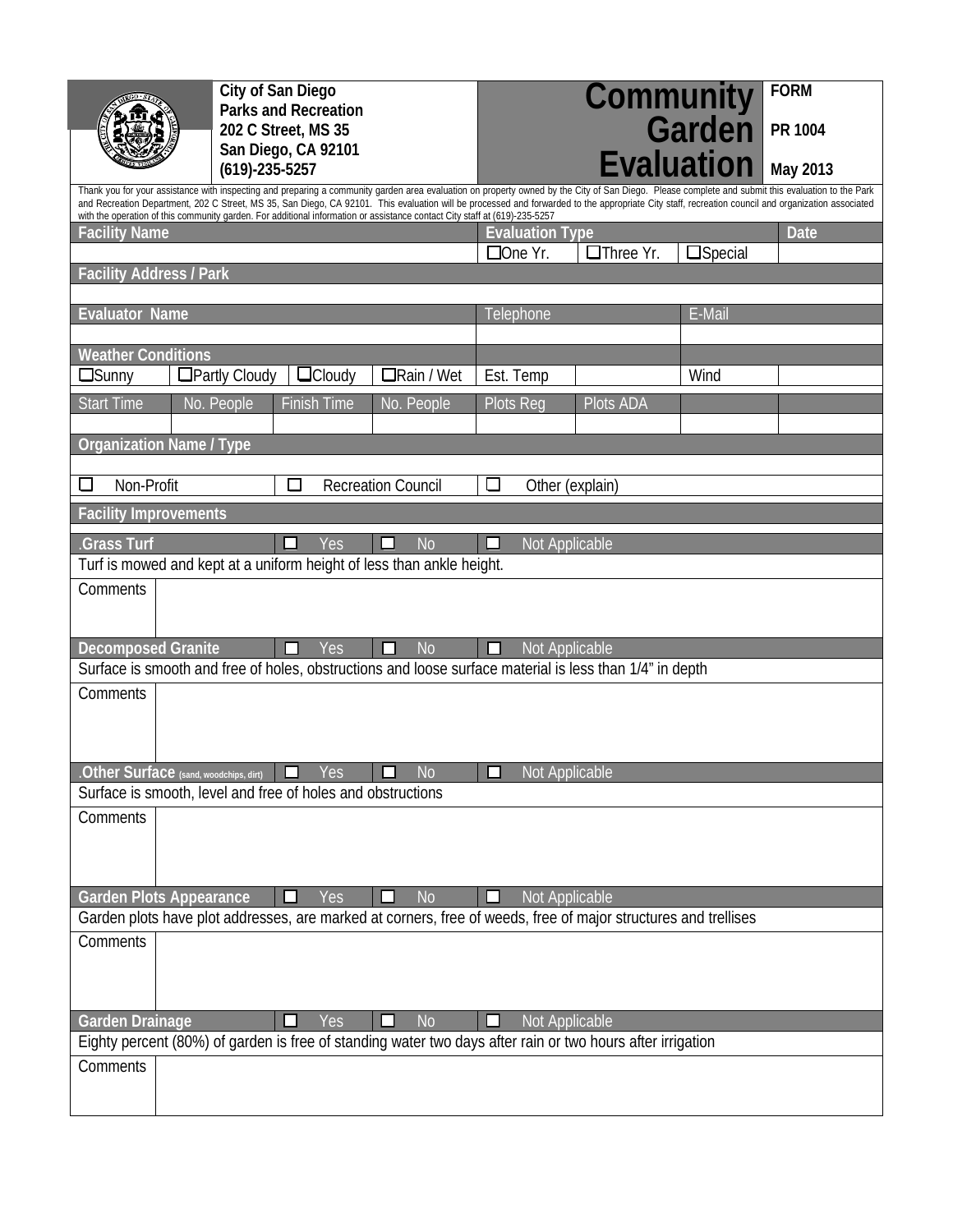| City of San Diego<br><b>Parks and Recreation</b><br>202 C Street, MS 35<br>San Diego, CA 92101<br>$(619) - 235 - 5257$                                                                                                                                                                                                                                                                                                                                                                                                                |  |                      |                                                                                       |                                                                                                                             |                           | <b>FORM</b><br>PR 1004<br>May 2013 |                   |             |  |  |  |
|---------------------------------------------------------------------------------------------------------------------------------------------------------------------------------------------------------------------------------------------------------------------------------------------------------------------------------------------------------------------------------------------------------------------------------------------------------------------------------------------------------------------------------------|--|----------------------|---------------------------------------------------------------------------------------|-----------------------------------------------------------------------------------------------------------------------------|---------------------------|------------------------------------|-------------------|-------------|--|--|--|
| Thank you for your assistance with inspecting and preparing a community garden area evaluation on property owned by the City of San Diego. Please complete and submit this evaluation to the Park<br>and Recreation Department, 202 C Street, MS 35, San Diego, CA 92101. This evaluation will be processed and forwarded to the appropriate City staff, recreation council and organization associated<br>with the operation of this community garden. For additional information or assistance contact City staff at (619)-235-5257 |  |                      |                                                                                       |                                                                                                                             |                           |                                    |                   |             |  |  |  |
| <b>Facility Name</b>                                                                                                                                                                                                                                                                                                                                                                                                                                                                                                                  |  |                      |                                                                                       |                                                                                                                             | <b>Evaluation Type</b>    |                                    |                   | <b>Date</b> |  |  |  |
|                                                                                                                                                                                                                                                                                                                                                                                                                                                                                                                                       |  |                      |                                                                                       |                                                                                                                             | $\Box$ One Yr.            | □Three Yr.                         | $\square$ Special |             |  |  |  |
| <b>Facility Address / Park</b>                                                                                                                                                                                                                                                                                                                                                                                                                                                                                                        |  |                      |                                                                                       |                                                                                                                             |                           |                                    |                   |             |  |  |  |
| <b>Evaluator Name</b>                                                                                                                                                                                                                                                                                                                                                                                                                                                                                                                 |  |                      |                                                                                       |                                                                                                                             | E-Mail<br>Telephone       |                                    |                   |             |  |  |  |
|                                                                                                                                                                                                                                                                                                                                                                                                                                                                                                                                       |  |                      |                                                                                       |                                                                                                                             |                           |                                    |                   |             |  |  |  |
| <b>Weather Conditions</b><br>$\Box$ Sunny                                                                                                                                                                                                                                                                                                                                                                                                                                                                                             |  | $\Box$ Partly Cloudy | $\Box$ Cloudy                                                                         | $\Box$ Rain / Wet                                                                                                           | Est. Temp                 |                                    | Wind              |             |  |  |  |
| <b>Start Time</b>                                                                                                                                                                                                                                                                                                                                                                                                                                                                                                                     |  | No. People           | <b>Finish Time</b>                                                                    | No. People                                                                                                                  | Plots Reg                 | Plots ADA                          |                   |             |  |  |  |
|                                                                                                                                                                                                                                                                                                                                                                                                                                                                                                                                       |  |                      |                                                                                       |                                                                                                                             |                           |                                    |                   |             |  |  |  |
| <b>Organization Name / Type</b>                                                                                                                                                                                                                                                                                                                                                                                                                                                                                                       |  |                      |                                                                                       |                                                                                                                             |                           |                                    |                   |             |  |  |  |
| Non-Profit                                                                                                                                                                                                                                                                                                                                                                                                                                                                                                                            |  |                      | $\Box$                                                                                | <b>Recreation Council</b>                                                                                                   | $\Box$<br>Other (explain) |                                    |                   |             |  |  |  |
| <b>Facility Improvements</b>                                                                                                                                                                                                                                                                                                                                                                                                                                                                                                          |  |                      |                                                                                       |                                                                                                                             |                           |                                    |                   |             |  |  |  |
| <b>Grass Turf</b>                                                                                                                                                                                                                                                                                                                                                                                                                                                                                                                     |  |                      | Yes<br>ப                                                                              | N <sub>o</sub>                                                                                                              | Not Applicable<br>ப       |                                    |                   |             |  |  |  |
|                                                                                                                                                                                                                                                                                                                                                                                                                                                                                                                                       |  |                      |                                                                                       | Turf is mowed and kept at a uniform height of less than ankle height.                                                       |                           |                                    |                   |             |  |  |  |
| Comments                                                                                                                                                                                                                                                                                                                                                                                                                                                                                                                              |  |                      |                                                                                       |                                                                                                                             |                           |                                    |                   |             |  |  |  |
|                                                                                                                                                                                                                                                                                                                                                                                                                                                                                                                                       |  |                      |                                                                                       |                                                                                                                             |                           |                                    |                   |             |  |  |  |
| <b>Decomposed Granite</b>                                                                                                                                                                                                                                                                                                                                                                                                                                                                                                             |  |                      | Yes<br>П                                                                              | <b>No</b><br>П                                                                                                              | Not Applicable<br>ப       |                                    |                   |             |  |  |  |
|                                                                                                                                                                                                                                                                                                                                                                                                                                                                                                                                       |  |                      |                                                                                       | Surface is smooth and free of holes, obstructions and loose surface material is less than 1/4" in depth                     |                           |                                    |                   |             |  |  |  |
| Comments                                                                                                                                                                                                                                                                                                                                                                                                                                                                                                                              |  |                      |                                                                                       |                                                                                                                             |                           |                                    |                   |             |  |  |  |
|                                                                                                                                                                                                                                                                                                                                                                                                                                                                                                                                       |  |                      |                                                                                       |                                                                                                                             |                           |                                    |                   |             |  |  |  |
|                                                                                                                                                                                                                                                                                                                                                                                                                                                                                                                                       |  |                      |                                                                                       |                                                                                                                             |                           |                                    |                   |             |  |  |  |
|                                                                                                                                                                                                                                                                                                                                                                                                                                                                                                                                       |  |                      | $\overline{\text{Other Surface}}$ (sand, woodchips, dirt) $\overline{\text{max}}$ Yes | $\Box$ No                                                                                                                   | Not Applicable            |                                    |                   |             |  |  |  |
|                                                                                                                                                                                                                                                                                                                                                                                                                                                                                                                                       |  |                      | Surface is smooth, level and free of holes and obstructions                           |                                                                                                                             |                           |                                    |                   |             |  |  |  |
| Comments                                                                                                                                                                                                                                                                                                                                                                                                                                                                                                                              |  |                      |                                                                                       |                                                                                                                             |                           |                                    |                   |             |  |  |  |
|                                                                                                                                                                                                                                                                                                                                                                                                                                                                                                                                       |  |                      |                                                                                       |                                                                                                                             |                           |                                    |                   |             |  |  |  |
|                                                                                                                                                                                                                                                                                                                                                                                                                                                                                                                                       |  |                      |                                                                                       |                                                                                                                             |                           |                                    |                   |             |  |  |  |
| <b>Garden Plots Appearance</b>                                                                                                                                                                                                                                                                                                                                                                                                                                                                                                        |  |                      | Yes<br>ப                                                                              | <b>No</b><br>Garden plots have plot addresses, are marked at corners, free of weeds, free of major structures and trellises | Not Applicable            |                                    |                   |             |  |  |  |
| Comments                                                                                                                                                                                                                                                                                                                                                                                                                                                                                                                              |  |                      |                                                                                       |                                                                                                                             |                           |                                    |                   |             |  |  |  |
|                                                                                                                                                                                                                                                                                                                                                                                                                                                                                                                                       |  |                      |                                                                                       |                                                                                                                             |                           |                                    |                   |             |  |  |  |
|                                                                                                                                                                                                                                                                                                                                                                                                                                                                                                                                       |  |                      |                                                                                       |                                                                                                                             |                           |                                    |                   |             |  |  |  |
| <b>Garden Drainage</b><br>Yes<br><b>No</b><br>Not Applicable<br>◻                                                                                                                                                                                                                                                                                                                                                                                                                                                                     |  |                      |                                                                                       |                                                                                                                             |                           |                                    |                   |             |  |  |  |
| Eighty percent (80%) of garden is free of standing water two days after rain or two hours after irrigation                                                                                                                                                                                                                                                                                                                                                                                                                            |  |                      |                                                                                       |                                                                                                                             |                           |                                    |                   |             |  |  |  |
| Comments                                                                                                                                                                                                                                                                                                                                                                                                                                                                                                                              |  |                      |                                                                                       |                                                                                                                             |                           |                                    |                   |             |  |  |  |
|                                                                                                                                                                                                                                                                                                                                                                                                                                                                                                                                       |  |                      |                                                                                       |                                                                                                                             |                           |                                    |                   |             |  |  |  |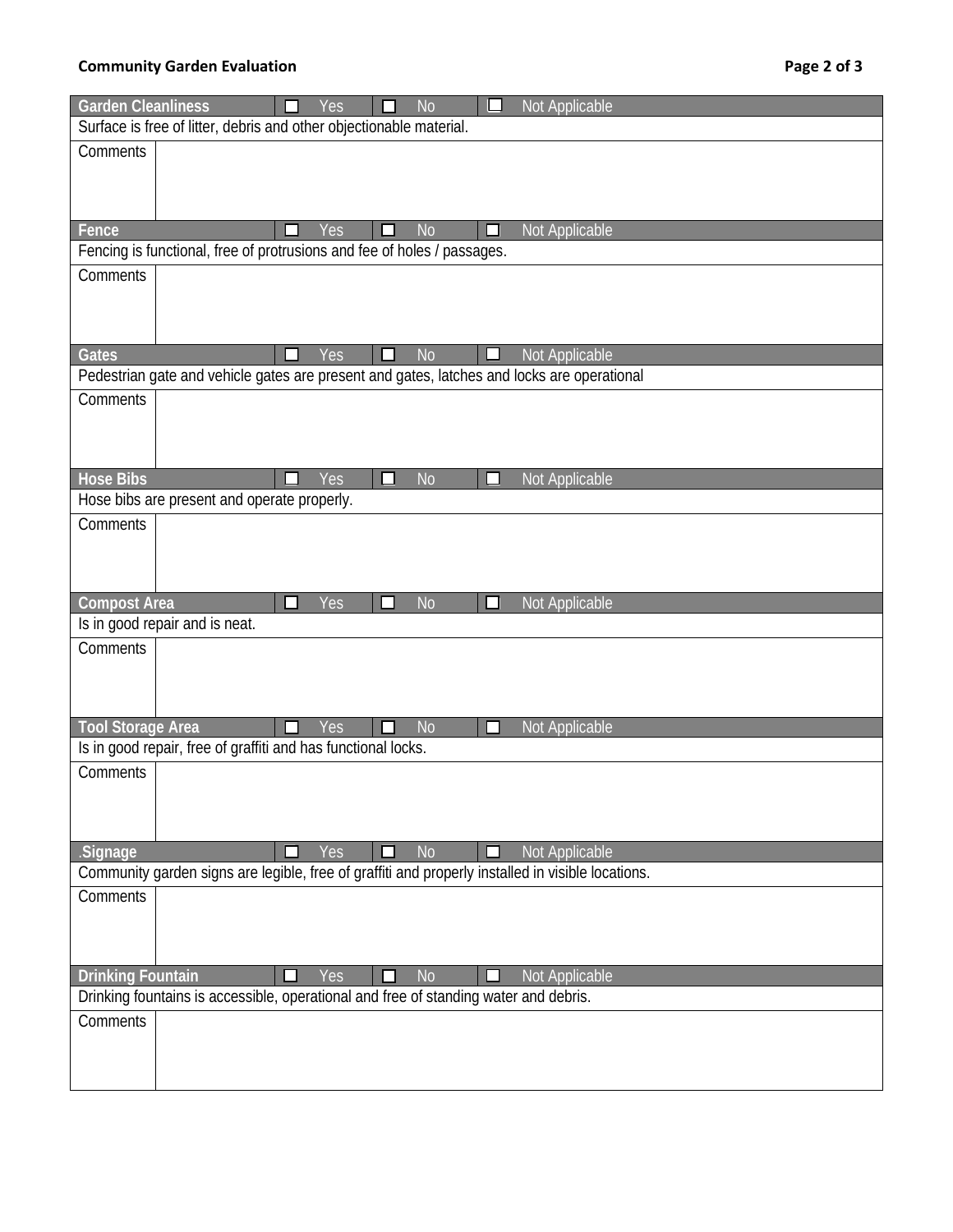## **Community Garden Evaluation Page 2 of 3**

| <b>Garden Cleanliness</b>                                                            |  |        | Yes |    | N <sub>o</sub> |    | Not Applicable                                                                                    |
|--------------------------------------------------------------------------------------|--|--------|-----|----|----------------|----|---------------------------------------------------------------------------------------------------|
| Surface is free of litter, debris and other objectionable material.                  |  |        |     |    |                |    |                                                                                                   |
| Comments                                                                             |  |        |     |    |                |    |                                                                                                   |
|                                                                                      |  |        |     |    |                |    |                                                                                                   |
|                                                                                      |  |        |     |    |                |    |                                                                                                   |
| Fence                                                                                |  |        | Yes |    | N <sub>o</sub> | ΙI | Not Applicable                                                                                    |
| Fencing is functional, free of protrusions and fee of holes / passages.              |  |        |     |    |                |    |                                                                                                   |
| Comments                                                                             |  |        |     |    |                |    |                                                                                                   |
|                                                                                      |  |        |     |    |                |    |                                                                                                   |
|                                                                                      |  |        |     |    |                |    |                                                                                                   |
| <b>Gates</b>                                                                         |  | ப      | Yes | L. | <b>No</b>      | ❏  | Not Applicable                                                                                    |
|                                                                                      |  |        |     |    |                |    | Pedestrian gate and vehicle gates are present and gates, latches and locks are operational        |
| Comments                                                                             |  |        |     |    |                |    |                                                                                                   |
|                                                                                      |  |        |     |    |                |    |                                                                                                   |
|                                                                                      |  |        |     |    |                |    |                                                                                                   |
|                                                                                      |  |        |     |    |                |    |                                                                                                   |
| <b>Hose Bibs</b><br>Hose bibs are present and operate properly.                      |  |        | Yes |    | <b>No</b>      | H  | <b>Not Applicable</b>                                                                             |
| Comments                                                                             |  |        |     |    |                |    |                                                                                                   |
|                                                                                      |  |        |     |    |                |    |                                                                                                   |
|                                                                                      |  |        |     |    |                |    |                                                                                                   |
|                                                                                      |  |        |     |    |                |    |                                                                                                   |
| <b>Compost Area</b>                                                                  |  | $\Box$ | Yes |    | <b>No</b>      |    | Not Applicable                                                                                    |
| Is in good repair and is neat.                                                       |  |        |     |    |                |    |                                                                                                   |
| Comments                                                                             |  |        |     |    |                |    |                                                                                                   |
|                                                                                      |  |        |     |    |                |    |                                                                                                   |
|                                                                                      |  |        |     |    |                |    |                                                                                                   |
| <b>Tool Storage Area</b>                                                             |  | ◻      | Yes |    | <b>No</b>      | П  | Not Applicable                                                                                    |
| Is in good repair, free of graffiti and has functional locks.                        |  |        |     |    |                |    |                                                                                                   |
| Comments                                                                             |  |        |     |    |                |    |                                                                                                   |
|                                                                                      |  |        |     |    |                |    |                                                                                                   |
|                                                                                      |  |        |     |    |                |    |                                                                                                   |
| Signage                                                                              |  | П      | Yes |    | <b>No</b>      |    | Not Applicable                                                                                    |
|                                                                                      |  |        |     |    |                |    | Community garden signs are legible, free of graffiti and properly installed in visible locations. |
| Comments                                                                             |  |        |     |    |                |    |                                                                                                   |
|                                                                                      |  |        |     |    |                |    |                                                                                                   |
|                                                                                      |  |        |     |    |                |    |                                                                                                   |
| <b>Drinking Fountain</b>                                                             |  |        | Yes |    | <b>No</b>      |    | Not Applicable                                                                                    |
| Drinking fountains is accessible, operational and free of standing water and debris. |  |        |     |    |                |    |                                                                                                   |
| Comments                                                                             |  |        |     |    |                |    |                                                                                                   |
|                                                                                      |  |        |     |    |                |    |                                                                                                   |
|                                                                                      |  |        |     |    |                |    |                                                                                                   |
|                                                                                      |  |        |     |    |                |    |                                                                                                   |